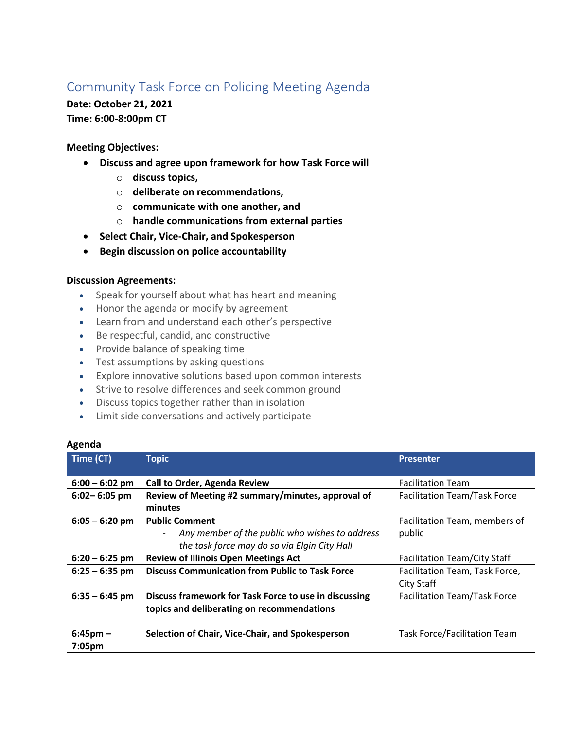# Community Task Force on Policing Meeting Agenda

## **Date: October 21, 2021 Time: 6:00-8:00pm CT**

### **Meeting Objectives:**

- **Discuss and agree upon framework for how Task Force will** 
	- o **discuss topics,**
	- o **deliberate on recommendations,**
	- o **communicate with one another, and**
	- o **handle communications from external parties**
- **Select Chair, Vice-Chair, and Spokesperson**
- **Begin discussion on police accountability**

### **Discussion Agreements:**

- Speak for yourself about what has heart and meaning
- Honor the agenda or modify by agreement
- Learn from and understand each other's perspective
- Be respectful, candid, and constructive
- Provide balance of speaking time
- Test assumptions by asking questions
- Explore innovative solutions based upon common interests
- Strive to resolve differences and seek common ground
- Discuss topics together rather than in isolation
- Limit side conversations and actively participate

#### **Agenda**

| Time (CT)                           | <b>Topic</b>                                                                                                            | <b>Presenter</b>                             |
|-------------------------------------|-------------------------------------------------------------------------------------------------------------------------|----------------------------------------------|
| $6:00 - 6:02$ pm                    | Call to Order, Agenda Review                                                                                            | <b>Facilitation Team</b>                     |
| $6:02 - 6:05$ pm                    | Review of Meeting #2 summary/minutes, approval of<br>minutes                                                            | <b>Facilitation Team/Task Force</b>          |
| $6:05 - 6:20$ pm                    | <b>Public Comment</b><br>Any member of the public who wishes to address<br>the task force may do so via Elgin City Hall | Facilitation Team, members of<br>public      |
| $6:20 - 6:25$ pm                    | <b>Review of Illinois Open Meetings Act</b>                                                                             | <b>Facilitation Team/City Staff</b>          |
| $6:25 - 6:35$ pm                    | <b>Discuss Communication from Public to Task Force</b>                                                                  | Facilitation Team, Task Force,<br>City Staff |
| $6:35 - 6:45$ pm                    | Discuss framework for Task Force to use in discussing<br>topics and deliberating on recommendations                     | <b>Facilitation Team/Task Force</b>          |
| $6:45$ pm $-$<br>7:05 <sub>pm</sub> | Selection of Chair, Vice-Chair, and Spokesperson                                                                        | <b>Task Force/Facilitation Team</b>          |